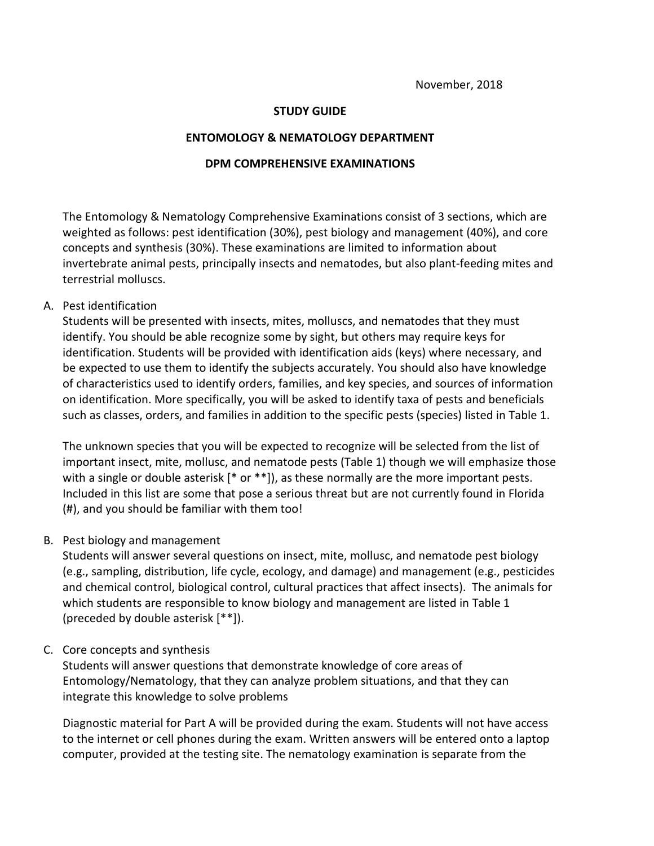#### **STUDY GUIDE**

#### **ENTOMOLOGY & NEMATOLOGY DEPARTMENT**

#### **DPM COMPREHENSIVE EXAMINATIONS**

The Entomology & Nematology Comprehensive Examinations consist of 3 sections, which are weighted as follows: pest identification (30%), pest biology and management (40%), and core concepts and synthesis (30%). These examinations are limited to information about invertebrate animal pests, principally insects and nematodes, but also plant-feeding mites and terrestrial molluscs.

## A. Pest identification

Students will be presented with insects, mites, molluscs, and nematodes that they must identify. You should be able recognize some by sight, but others may require keys for identification. Students will be provided with identification aids (keys) where necessary, and be expected to use them to identify the subjects accurately. You should also have knowledge of characteristics used to identify orders, families, and key species, and sources of information on identification. More specifically, you will be asked to identify taxa of pests and beneficials such as classes, orders, and families in addition to the specific pests (species) listed in Table 1.

The unknown species that you will be expected to recognize will be selected from the list of important insect, mite, mollusc, and nematode pests (Table 1) though we will emphasize those with a single or double asterisk [\* or \*\*]), as these normally are the more important pests. Included in this list are some that pose a serious threat but are not currently found in Florida (#), and you should be familiar with them too!

#### B. Pest biology and management

Students will answer several questions on insect, mite, mollusc, and nematode pest biology (e.g., sampling, distribution, life cycle, ecology, and damage) and management (e.g., pesticides and chemical control, biological control, cultural practices that affect insects). The animals for which students are responsible to know biology and management are listed in Table 1 (preceded by double asterisk [\*\*]).

# C. Core concepts and synthesis

Students will answer questions that demonstrate knowledge of core areas of Entomology/Nematology, that they can analyze problem situations, and that they can integrate this knowledge to solve problems

Diagnostic material for Part A will be provided during the exam. Students will not have access to the internet or cell phones during the exam. Written answers will be entered onto a laptop computer, provided at the testing site. The nematology examination is separate from the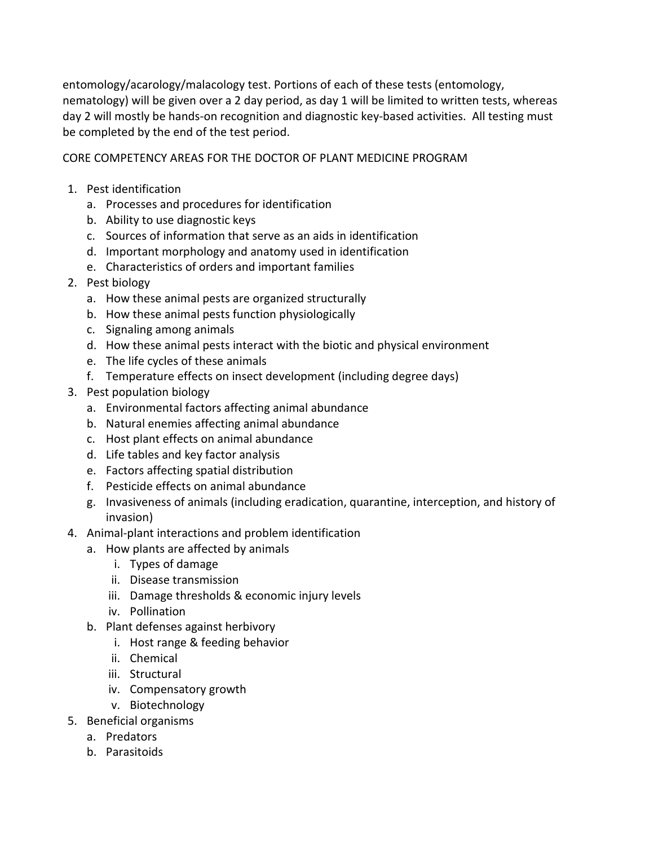entomology/acarology/malacology test. Portions of each of these tests (entomology, nematology) will be given over a 2 day period, as day 1 will be limited to written tests, whereas day 2 will mostly be hands-on recognition and diagnostic key-based activities. All testing must be completed by the end of the test period.

# CORE COMPETENCY AREAS FOR THE DOCTOR OF PLANT MEDICINE PROGRAM

- 1. Pest identification
	- a. Processes and procedures for identification
	- b. Ability to use diagnostic keys
	- c. Sources of information that serve as an aids in identification
	- d. Important morphology and anatomy used in identification
	- e. Characteristics of orders and important families
- 2. Pest biology
	- a. How these animal pests are organized structurally
	- b. How these animal pests function physiologically
	- c. Signaling among animals
	- d. How these animal pests interact with the biotic and physical environment
	- e. The life cycles of these animals
	- f. Temperature effects on insect development (including degree days)
- 3. Pest population biology
	- a. Environmental factors affecting animal abundance
	- b. Natural enemies affecting animal abundance
	- c. Host plant effects on animal abundance
	- d. Life tables and key factor analysis
	- e. Factors affecting spatial distribution
	- f. Pesticide effects on animal abundance
	- g. Invasiveness of animals (including eradication, quarantine, interception, and history of invasion)
- 4. Animal-plant interactions and problem identification
	- a. How plants are affected by animals
		- i. Types of damage
		- ii. Disease transmission
		- iii. Damage thresholds & economic injury levels
		- iv. Pollination
	- b. Plant defenses against herbivory
		- i. Host range & feeding behavior
		- ii. Chemical
		- iii. Structural
		- iv. Compensatory growth
		- v. Biotechnology
- 5. Beneficial organisms
	- a. Predators
	- b. Parasitoids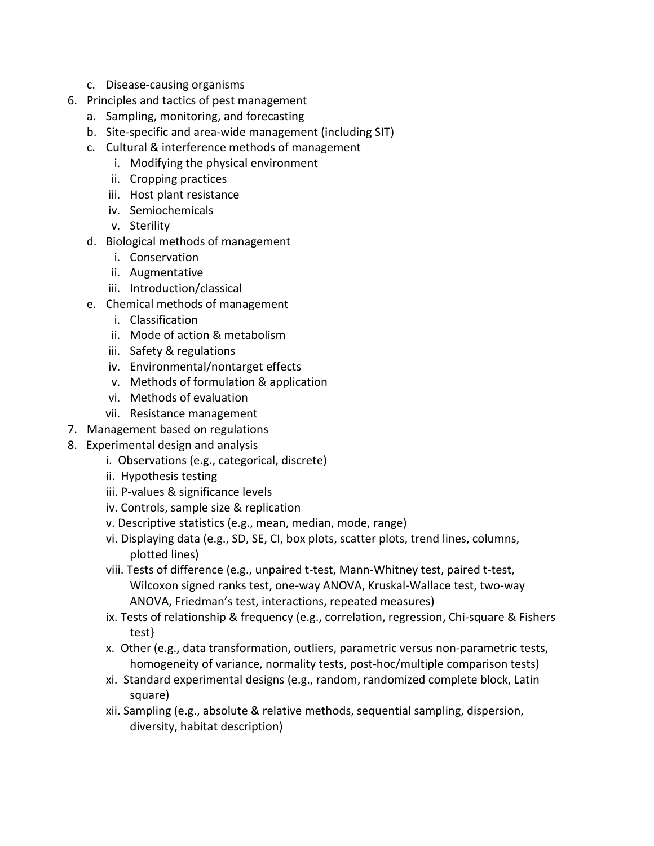- c. Disease-causing organisms
- 6. Principles and tactics of pest management
	- a. Sampling, monitoring, and forecasting
	- b. Site-specific and area-wide management (including SIT)
	- c. Cultural & interference methods of management
		- i. Modifying the physical environment
		- ii. Cropping practices
		- iii. Host plant resistance
		- iv. Semiochemicals
		- v. Sterility
	- d. Biological methods of management
		- i. Conservation
		- ii. Augmentative
		- iii. Introduction/classical
	- e. Chemical methods of management
		- i. Classification
		- ii. Mode of action & metabolism
		- iii. Safety & regulations
		- iv. Environmental/nontarget effects
		- v. Methods of formulation & application
		- vi. Methods of evaluation
		- vii. Resistance management
- 7. Management based on regulations
- 8. Experimental design and analysis
	- i. Observations (e.g., categorical, discrete)
	- ii. Hypothesis testing
	- iii. P-values & significance levels
	- iv. Controls, sample size & replication
	- v. Descriptive statistics (e.g., mean, median, mode, range)
	- vi. Displaying data (e.g., SD, SE, CI, box plots, scatter plots, trend lines, columns, plotted lines)
	- viii. Tests of difference (e.g., unpaired t-test, Mann-Whitney test, paired t-test, Wilcoxon signed ranks test, one-way ANOVA, Kruskal-Wallace test, two-way ANOVA, Friedman's test, interactions, repeated measures)
	- ix. Tests of relationship & frequency (e.g., correlation, regression, Chi-square & Fishers test}
	- x. Other (e.g., data transformation, outliers, parametric versus non-parametric tests, homogeneity of variance, normality tests, post-hoc/multiple comparison tests)
	- xi. Standard experimental designs (e.g., random, randomized complete block, Latin square)
	- xii. Sampling (e.g., absolute & relative methods, sequential sampling, dispersion, diversity, habitat description)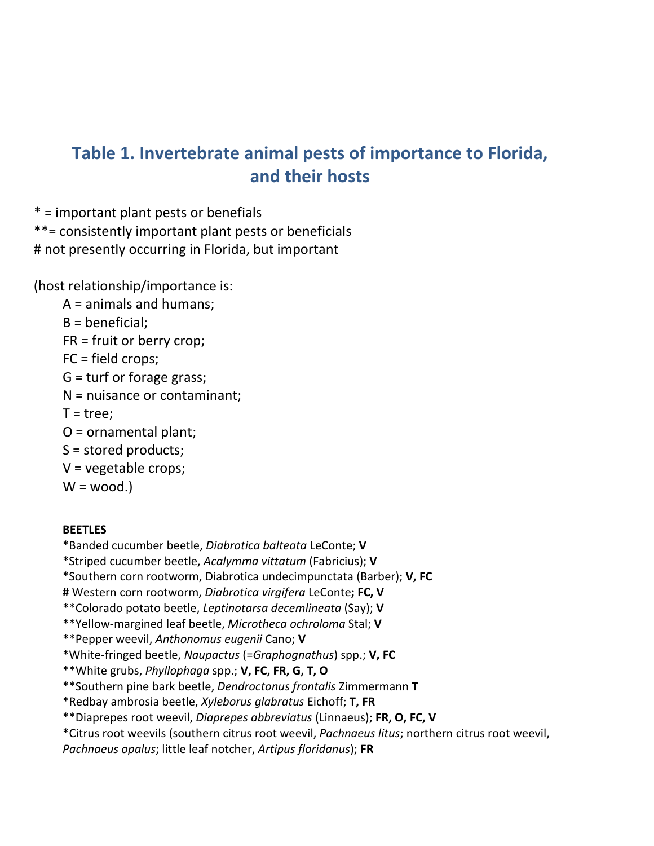# **Table 1. Invertebrate animal pests of importance to Florida, and their hosts**

\* = important plant pests or benefials

\*\*= consistently important plant pests or beneficials # not presently occurring in Florida, but important

(host relationship/importance is:

- A = animals and humans;
- B = beneficial;
- FR = fruit or berry crop;
- FC = field crops;
- G = turf or forage grass;
- N = nuisance or contaminant;
- $T = tree$ :
- O = ornamental plant;
- S = stored products;
- V = vegetable crops;
- $W = wood.$

# **BEETLES**

- \*Banded cucumber beetle, *Diabrotica balteata* LeConte; **V**
- \*Striped cucumber beetle, *Acalymma vittatum* (Fabricius); **V**
- \*Southern corn rootworm, Diabrotica undecimpunctata (Barber); **V, FC**
- **#** Western corn rootworm, *Diabrotica virgifera* LeConte**; FC, V**
- \*\*Colorado potato beetle, *Leptinotarsa decemlineata* (Say); **V**
- \*\*Yellow-margined leaf beetle, *Microtheca ochroloma* Stal; **V**
- \*\*Pepper weevil, *Anthonomus eugenii* Cano; **V**
- \*White-fringed beetle, *Naupactus* (=*Graphognathus*) spp.; **V, FC**
- \*\*White grubs, *Phyllophaga* spp.; **V, FC, FR, G, T, O**
- \*\*Southern pine bark beetle, *Dendroctonus frontalis* Zimmermann **T**
- \*Redbay ambrosia beetle, *Xyleborus glabratus* Eichoff; **T, FR**
- \*\*Diaprepes root weevil, *Diaprepes abbreviatus* (Linnaeus); **FR, O, FC, V**
- \*Citrus root weevils (southern citrus root weevil, *Pachnaeus litus*; northern citrus root weevil,
- *Pachnaeus opalus*; little leaf notcher, *Artipus floridanus*); **FR**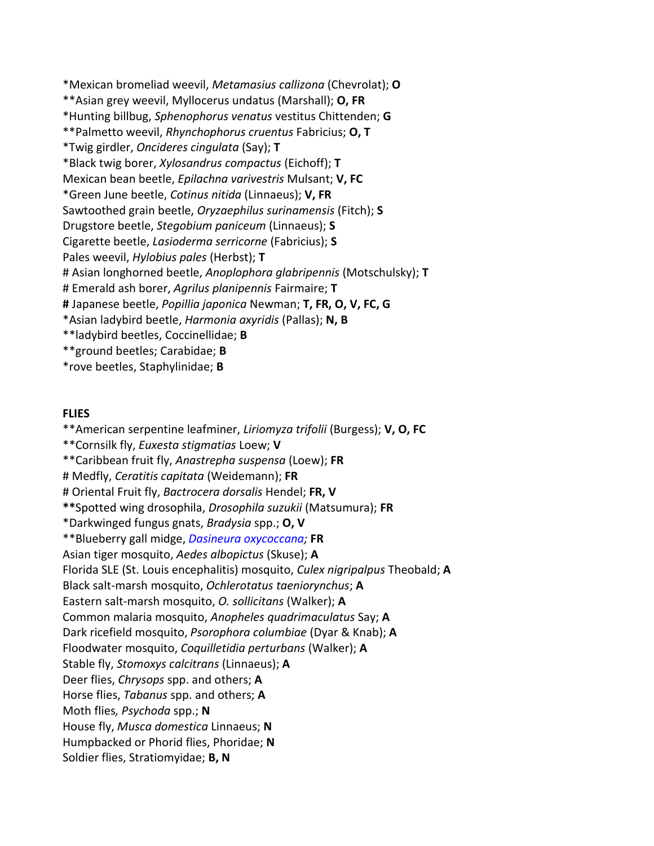\*Mexican bromeliad weevil, *Metamasius callizona* (Chevrolat); **O** \*\*Asian grey weevil, Myllocerus undatus (Marshall); **O, FR** \*Hunting billbug, *Sphenophorus venatus* vestitus Chittenden; **G** \*\*Palmetto weevil, *Rhynchophorus cruentus* Fabricius; **O, T** \*Twig girdler, *Oncideres cingulata* (Say); **T** \*Black twig borer, *Xylosandrus compactus* (Eichoff); **T** Mexican bean beetle, *Epilachna varivestris* Mulsant; **V, FC** \*Green June beetle, *Cotinus nitida* (Linnaeus); **V, FR** Sawtoothed grain beetle, *Oryzaephilus surinamensis* (Fitch); **S** Drugstore beetle, *Stegobium paniceum* (Linnaeus); **S** Cigarette beetle, *Lasioderma serricorne* (Fabricius); **S** Pales weevil, *Hylobius pales* (Herbst); **T** # Asian longhorned beetle, *Anoplophora glabripennis* (Motschulsky); **T** # Emerald ash borer, *Agrilus planipennis* Fairmaire; **T #** Japanese beetle, *Popillia japonica* Newman; **T, FR, O, V, FC, G** \*Asian ladybird beetle, *Harmonia axyridis* (Pallas); **N, B** \*\*ladybird beetles, Coccinellidae; **B** \*\*ground beetles; Carabidae; **B**

\*rove beetles, Staphylinidae; **B**

#### **FLIES**

\*\*American serpentine leafminer, *Liriomyza trifolii* (Burgess); **V, O, FC** \*\*Cornsilk fly, *Euxesta stigmatias* Loew; **V** \*\*Caribbean fruit fly, *Anastrepha suspensa* (Loew); **FR** # Medfly, *Ceratitis capitata* (Weidemann); **FR** # Oriental Fruit fly, *Bactrocera dorsalis* Hendel; **FR, V \*\***Spotted wing drosophila, *Drosophila suzukii* (Matsumura); **FR** \*Darkwinged fungus gnats, *Bradysia* spp.; **O, V** \*\*Blueberry gall midge, *[Dasineura oxycoccana;](http://entnemdept.ufl.edu/creatures/fruit/blueberry_gall_midge.htm)* **FR** Asian tiger mosquito, *Aedes albopictus* (Skuse); **A** Florida SLE (St. Louis encephalitis) mosquito, *Culex nigripalpus* Theobald; **A** Black salt-marsh mosquito, *Ochlerotatus taeniorynchus*; **A** Eastern salt-marsh mosquito, *O. sollicitans* (Walker); **A** Common malaria mosquito, *Anopheles quadrimaculatus* Say; **A** Dark ricefield mosquito, *Psorophora columbiae* (Dyar & Knab); **A** Floodwater mosquito, *Coquilletidia perturbans* (Walker); **A** Stable fly, *Stomoxys calcitrans* (Linnaeus); **A** Deer flies, *Chrysops* spp. and others; **A** Horse flies, *Tabanus* spp. and others; **A** Moth flies*, Psychoda* spp.; **N** House fly, *Musca domestica* Linnaeus; **N** Humpbacked or Phorid flies, Phoridae; **N**  Soldier flies, Stratiomyidae; **B, N**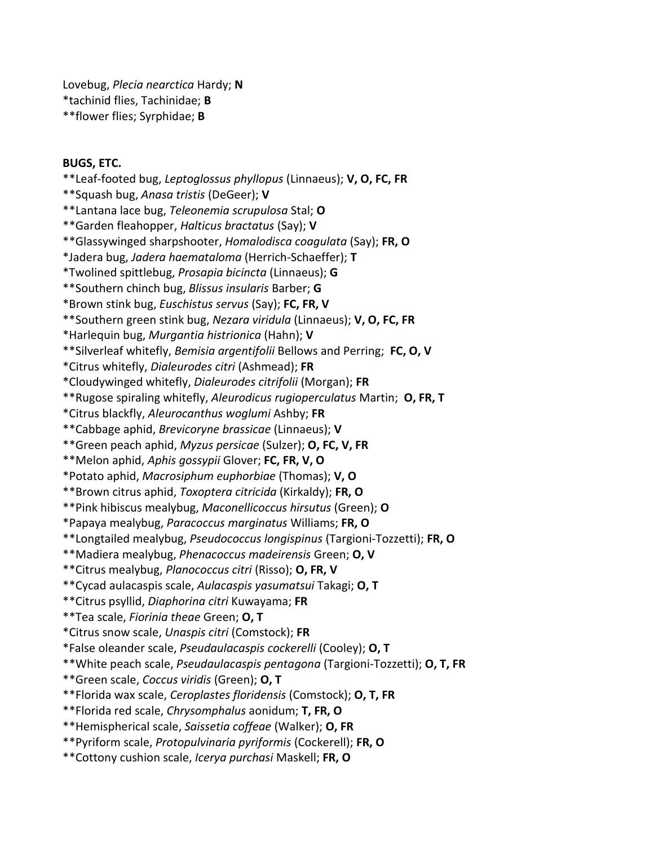Lovebug, *Plecia nearctica* Hardy; **N** \*tachinid flies, Tachinidae; **B** \*\*flower flies; Syrphidae; **B**

#### **BUGS, ETC.**

\*\*Leaf-footed bug, *Leptoglossus phyllopus* (Linnaeus); **V, O, FC, FR** \*\*Squash bug, *Anasa tristis* (DeGeer); **V** \*\*Lantana lace bug, *Teleonemia scrupulosa* Stal; **O** \*\*Garden fleahopper, *Halticus bractatus* (Say); **V** \*\*Glassywinged sharpshooter, *Homalodisca coagulata* (Say); **FR, O** \*Jadera bug, *Jadera haemataloma* (Herrich-Schaeffer); **T** \*Twolined spittlebug, *Prosapia bicincta* (Linnaeus); **G** \*\*Southern chinch bug, *Blissus insularis* Barber; **G** \*Brown stink bug, *Euschistus servus* (Say); **FC, FR, V** \*\*Southern green stink bug, *Nezara viridula* (Linnaeus); **V, O, FC, FR** \*Harlequin bug, *Murgantia histrionica* (Hahn); **V** \*\*Silverleaf whitefly, *Bemisia argentifolii* Bellows and Perring; **FC, O, V** \*Citrus whitefly, *Dialeurodes citri* (Ashmead); **FR** \*Cloudywinged whitefly, *Dialeurodes citrifolii* (Morgan); **FR** \*\*Rugose spiraling whitefly, *Aleurodicus rugioperculatus* Martin; **O, FR, T** \*Citrus blackfly, *Aleurocanthus woglumi* Ashby; **FR** \*\*Cabbage aphid, *Brevicoryne brassicae* (Linnaeus); **V** \*\*Green peach aphid, *Myzus persicae* (Sulzer); **O, FC, V, FR** \*\*Melon aphid, *Aphis gossypii* Glover; **FC, FR, V, O** \*Potato aphid, *Macrosiphum euphorbiae* (Thomas); **V, O** \*\*Brown citrus aphid, *Toxoptera citricida* (Kirkaldy); **FR, O** \*\*Pink hibiscus mealybug, *Maconellicoccus hirsutus* (Green); **O** \*Papaya mealybug, *Paracoccus marginatus* Williams; **FR, O** \*\*Longtailed mealybug, *Pseudococcus longispinus* (Targioni-Tozzetti); **FR, O** \*\*Madiera mealybug, *Phenacoccus madeirensis* Green; **O, V** \*\*Citrus mealybug, *Planococcus citri* (Risso); **O, FR, V** \*\*Cycad aulacaspis scale, *Aulacaspis yasumatsui* Takagi; **O, T** \*\*Citrus psyllid, *Diaphorina citri* Kuwayama; **FR** \*\*Tea scale, *Fiorinia theae* Green; **O, T** \*Citrus snow scale, *Unaspis citri* (Comstock); **FR** \*False oleander scale, *Pseudaulacaspis cockerelli* (Cooley); **O, T** \*\*White peach scale, *Pseudaulacaspis pentagona* (Targioni-Tozzetti); **O, T, FR** \*\*Green scale, *Coccus viridis* (Green); **O, T** \*\*Florida wax scale, *Ceroplastes floridensis* (Comstock); **O, T, FR** \*\*Florida red scale, *Chrysomphalus* aonidum; **T, FR, O** \*\*Hemispherical scale, *Saissetia coffeae* (Walker); **O, FR** \*\*Pyriform scale, *Protopulvinaria pyriformis* (Cockerell); **FR, O** \*\*Cottony cushion scale, *Icerya purchasi* Maskell; **FR, O**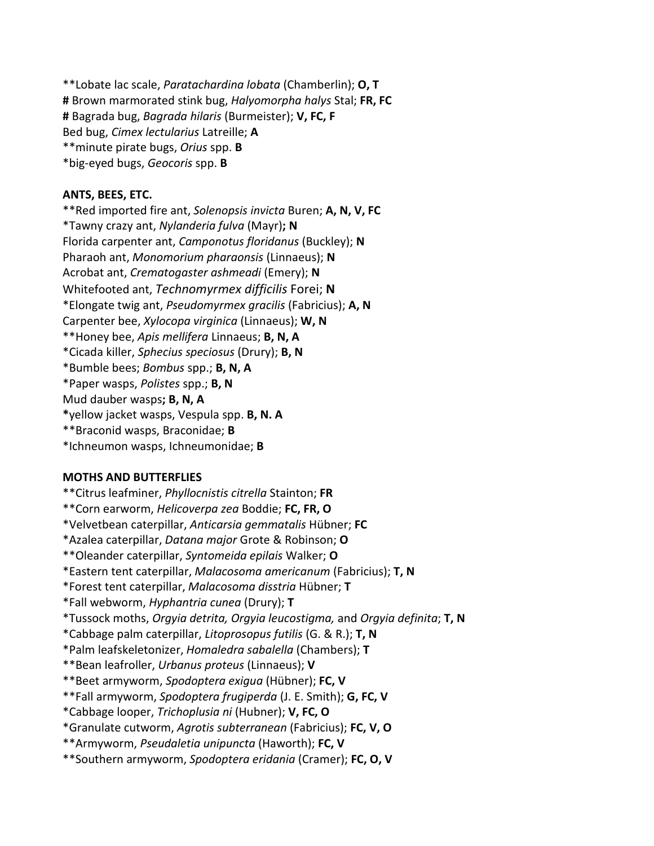\*\*Lobate lac scale, *Paratachardina lobata* (Chamberlin); **O, T #** Brown marmorated stink bug, *Halyomorpha halys* Stal; **FR, FC #** Bagrada bug, *Bagrada hilaris* (Burmeister); **V, FC, F** Bed bug, *Cimex lectularius* Latreille; **A** \*\*minute pirate bugs, *Orius* spp. **B** \*big-eyed bugs, *Geocoris* spp. **B**

#### **ANTS, BEES, ETC.**

\*\*Red imported fire ant, *Solenopsis invicta* Buren; **A, N, V, FC** \*Tawny crazy ant, *Nylanderia fulva* (Mayr)**; N** Florida carpenter ant, *Camponotus floridanus* (Buckley); **N** Pharaoh ant, *Monomorium pharaonsis* (Linnaeus); **N** Acrobat ant, *Crematogaster ashmeadi* (Emery); **N** Whitefooted ant, *Technomyrmex difficilis* Forei; **N** \*Elongate twig ant, *Pseudomyrmex gracilis* (Fabricius); **A, N** Carpenter bee, *Xylocopa virginica* (Linnaeus); **W, N** \*\*Honey bee, *Apis mellifera* Linnaeus; **B, N, A** \*Cicada killer, *Sphecius speciosus* (Drury); **B, N** \*Bumble bees; *Bombus* spp.; **B, N, A** \*Paper wasps, *Polistes* spp.; **B, N** Mud dauber wasps**; B, N, A \***yellow jacket wasps, Vespula spp. **B, N. A** \*\*Braconid wasps, Braconidae; **B** \*Ichneumon wasps, Ichneumonidae; **B**

#### **MOTHS AND BUTTERFLIES**

\*\*Citrus leafminer, *Phyllocnistis citrella* Stainton; **FR** \*\*Corn earworm, *Helicoverpa zea* Boddie; **FC, FR, O** \*Velvetbean caterpillar, *Anticarsia gemmatalis* Hübner; **FC** \*Azalea caterpillar, *Datana major* Grote & Robinson; **O** \*\*Oleander caterpillar, *Syntomeida epilais* Walker; **O** \*Eastern tent caterpillar, *Malacosoma americanum* (Fabricius); **T, N** \*Forest tent caterpillar, *Malacosoma disstria* Hübner; **T** \*Fall webworm, *Hyphantria cunea* (Drury); **T** \*Tussock moths, *Orgyia detrita, Orgyia leucostigma,* and *Orgyia definita*; **T, N** \*Cabbage palm caterpillar, *Litoprosopus futilis* (G. & R.); **T, N** \*Palm leafskeletonizer, *Homaledra sabalella* (Chambers); **T** \*\*Bean leafroller, *Urbanus proteus* (Linnaeus); **V** \*\*Beet armyworm, *Spodoptera exigua* (Hübner); **FC, V** \*\*Fall armyworm, *Spodoptera frugiperda* (J. E. Smith); **G, FC, V** \*Cabbage looper, *Trichoplusia ni* (Hubner); **V, FC, O** \*Granulate cutworm, *Agrotis subterranean* (Fabricius); **FC, V, O** \*\*Armyworm, *Pseudaletia unipuncta* (Haworth); **FC, V** \*\*Southern armyworm, *Spodoptera eridania* (Cramer); **FC, O, V**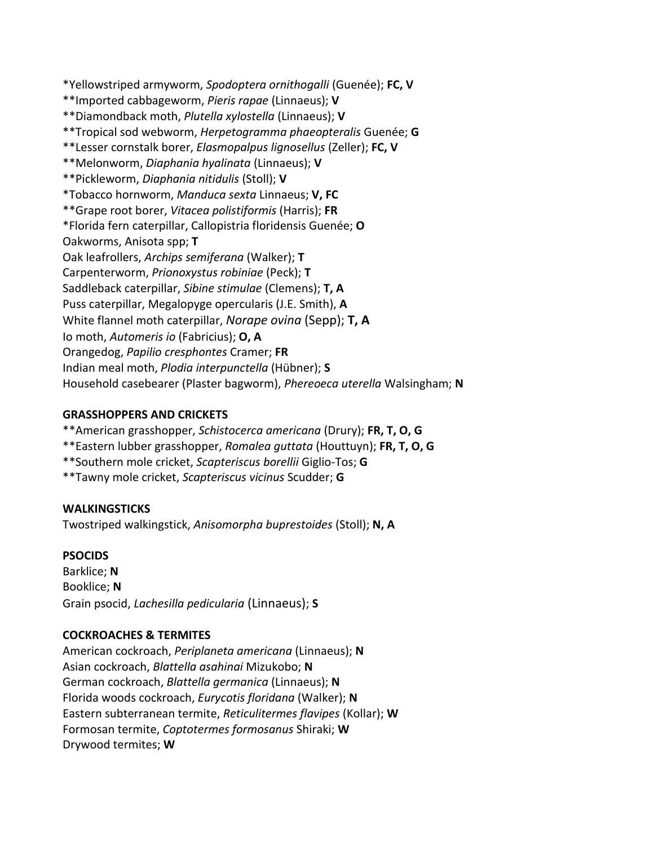\*Yellowstriped armyworm, *Spodoptera ornithogalli* (Guenée); **FC, V** \*\*Imported cabbageworm, *Pieris rapae* (Linnaeus); **V** \*\*Diamondback moth, *Plutella xylostella* (Linnaeus); **V** \*\*Tropical sod webworm, *Herpetogramma phaeopteralis* Guenée; **G** \*\*Lesser cornstalk borer, *Elasmopalpus lignosellus* (Zeller); **FC, V** \*\*Melonworm, *Diaphania hyalinata* (Linnaeus); **V** \*\*Pickleworm, *Diaphania nitidulis* (Stoll); **V** \*Tobacco hornworm, *Manduca sexta* Linnaeus; **V, FC** \*\*Grape root borer, *Vitacea polistiformis* (Harris); **FR** \*Florida fern caterpillar, Callopistria floridensis Guenée; **O** Oakworms, Anisota spp; **T** Oak leafrollers, *Archips semiferana* (Walker); **T** Carpenterworm, *Prionoxystus robiniae* (Peck); **T** Saddleback caterpillar, *Sibine stimulae* (Clemens); **T, A** Puss caterpillar, Megalopyge opercularis (J.E. Smith), **A** White flannel moth caterpillar, *Norape ovina* (Sepp); **T, A** Io moth, *Automeris io* (Fabricius); **O, A** Orangedog, *Papilio cresphontes* Cramer; **FR** Indian meal moth, *Plodia interpunctella* (Hübner); **S** Household casebearer (Plaster bagworm), *Phereoeca uterella* Walsingham; **N**

## **GRASSHOPPERS AND CRICKETS**

- \*\*American grasshopper, *Schistocerca americana* (Drury); **FR, T, O, G**
- \*\*Eastern lubber grasshopper, *Romalea guttata* (Houttuyn); **FR, T, O, G**
- \*\*Southern mole cricket, *Scapteriscus borellii* Giglio-Tos; **G**
- \*\*Tawny mole cricket, *Scapteriscus vicinus* Scudder; **G**

#### **WALKINGSTICKS**

Twostriped walkingstick, *Anisomorpha buprestoides* (Stoll); **N, A**

#### **PSOCIDS**

Barklice; **N** Booklice; **N** Grain psocid, *Lachesilla pedicularia* (Linnaeus); **S**

# **COCKROACHES & TERMITES**

American cockroach, *Periplaneta americana* (Linnaeus); **N** Asian cockroach, *Blattella asahinai* Mizukobo; **N** German cockroach, *Blattella germanica* (Linnaeus); **N** Florida woods cockroach, *Eurycotis floridana* (Walker); **N** Eastern subterranean termite, *Reticulitermes flavipes* (Kollar); **W** Formosan termite, *Coptotermes formosanus* Shiraki; **W** Drywood termites; **W**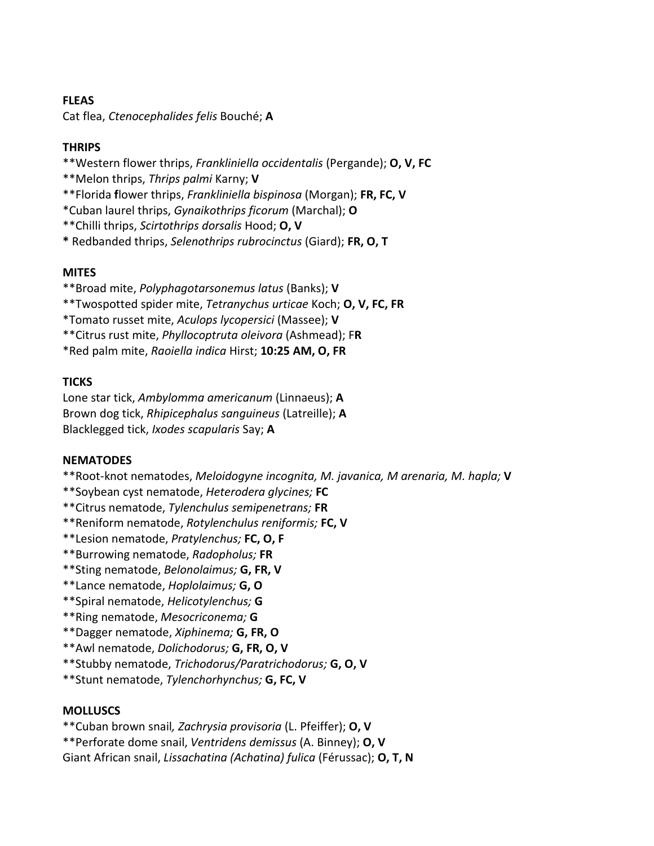### **FLEAS**

Cat flea, *Ctenocephalides felis* Bouché; **A**

# **THRIPS**

\*\*Western flower thrips, *Frankliniella occidentalis* (Pergande); **O, V, FC**

\*\*Melon thrips, *Thrips palmi* Karny; **V**

\*\*Florida **f**lower thrips, *Frankliniella bispinosa* (Morgan); **FR, FC, V**

\*Cuban laurel thrips, *Gynaikothrips ficorum* (Marchal); **O**

\*\*Chilli thrips, *Scirtothrips dorsalis* Hood; **O, V**

**\*** Redbanded thrips, *Selenothrips rubrocinctus* (Giard); **FR, O, T**

# **MITES**

\*\*Broad mite, *Polyphagotarsonemus latus* (Banks); **V**

\*\*Twospotted spider mite, *Tetranychus urticae* Koch; **O, V, FC, FR**

\*Tomato russet mite, *Aculops lycopersici* (Massee); **V**

\*\*Citrus rust mite, *Phyllocoptruta oleivora* (Ashmead); F**R**

\*Red palm mite, *Raoiella indica* Hirst; **10:25 AM, O, FR**

# **TICKS**

Lone star tick, *Ambylomma americanum* (Linnaeus); **A** Brown dog tick, *Rhipicephalus sanguineus* (Latreille); **A** Blacklegged tick, *Ixodes scapularis* Say; **A**

# **NEMATODES**

\*\*Root-knot nematodes, *Meloidogyne incognita, M. javanica, M arenaria, M. hapla;* **V**

\*\*Soybean cyst nematode, *Heterodera glycines;* **FC**

\*\*Citrus nematode, *Tylenchulus semipenetrans;* **FR**

\*\*Reniform nematode, *Rotylenchulus reniformis;* **FC, V**

\*\*Lesion nematode, *Pratylenchus;* **FC, O, F**

\*\*Burrowing nematode, *Radopholus;* **FR**

\*\*Sting nematode, *Belonolaimus;* **G, FR, V**

\*\*Lance nematode, *Hoplolaimus;* **G, O**

\*\*Spiral nematode, *Helicotylenchus;* **G**

\*\*Ring nematode, *Mesocriconema;* **G**

\*\*Dagger nematode, *Xiphinema;* **G, FR, O**

\*\*Awl nematode, *Dolichodorus;* **G, FR, O, V**

\*\*Stubby nematode, *Trichodorus/Paratrichodorus;* **G, O, V**

\*\*Stunt nematode, *Tylenchorhynchus;* **G, FC, V**

# **MOLLUSCS**

\*\*Cuban brown snail*, Zachrysia provisoria* (L. Pfeiffer); **O, V**

\*\*Perforate dome snail, *Ventridens demissus* (A. Binney); **O, V**

Giant African snail, *Lissachatina (Achatina) fulica* (Férussac); **O, T, N**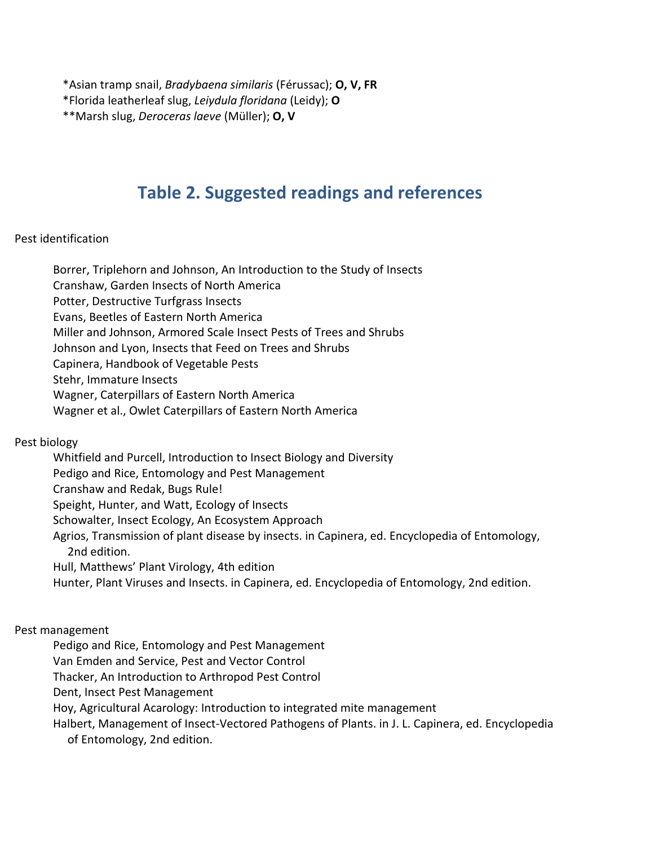\*Asian tramp snail, *Bradybaena similaris* (Férussac); **O, V, FR**

\*Florida leatherleaf slug, *Leiydula floridana* (Leidy); **O**

\*\*Marsh slug, *Deroceras laeve* (Müller); **O, V**

# **Table 2. Suggested readings and references**

## Pest identification

Borrer, Triplehorn and Johnson, An Introduction to the Study of Insects Cranshaw, Garden Insects of North America Potter, Destructive Turfgrass Insects Evans, Beetles of Eastern North America Miller and Johnson, Armored Scale Insect Pests of Trees and Shrubs Johnson and Lyon, Insects that Feed on Trees and Shrubs Capinera, Handbook of Vegetable Pests Stehr, Immature Insects Wagner, Caterpillars of Eastern North America Wagner et al., Owlet Caterpillars of Eastern North America

# Pest biology

Whitfield and Purcell, Introduction to Insect Biology and Diversity Pedigo and Rice, Entomology and Pest Management Cranshaw and Redak, Bugs Rule! Speight, Hunter, and Watt, Ecology of Insects Schowalter, Insect Ecology, An Ecosystem Approach Agrios, Transmission of plant disease by insects. in Capinera, ed. Encyclopedia of Entomology, 2nd edition. Hull, Matthews' Plant Virology, 4th edition Hunter, Plant Viruses and Insects. in Capinera, ed. Encyclopedia of Entomology, 2nd edition.

#### Pest management

Pedigo and Rice, Entomology and Pest Management

Van Emden and Service, Pest and Vector Control

Thacker, An Introduction to Arthropod Pest Control

Dent, Insect Pest Management

Hoy, Agricultural Acarology: Introduction to integrated mite management

Halbert, Management of Insect-Vectored Pathogens of Plants. in J. L. Capinera, ed. Encyclopedia of Entomology, 2nd edition.